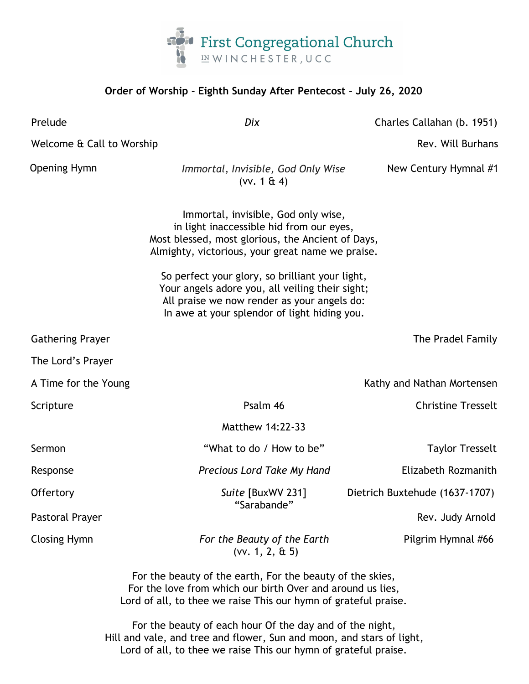

## **Order of Worship - Eighth Sunday After Pentecost - July 26, 2020**

Prelude *Dix* Charles Callahan (b. 1951) Welcome & Call to Worship Rev. Will Burhans Network and The Rev. Will Burhans Rev. Will Burhans Opening Hymn *Immortal, Invisible, God Only Wise* New Century Hymnal #1 (vv. 1 & 4) Immortal, invisible, God only wise, in light inaccessible hid from our eyes, Most blessed, most glorious, the Ancient of Days, Almighty, victorious, your great name we praise. So perfect your glory, so brilliant your light, Your angels adore you, all veiling their sight; All praise we now render as your angels do: In awe at your splendor of light hiding you. Gathering Prayer The Pradel Family and the Pradel Family and the Pradel Family and the Pradel Family and the Pradel Family and the Pradel Family and the Pradel Family and the Pradel Family and the Pradel Family and the Pra The Lord's Prayer A Time for the Young Kathy and Nathan Mortensen Scripture **Psalm 46** Christine Tresselt Matthew 14:22-33 Sermon Taylor Tresselt **"What to do / How to be"** Taylor Tresselt Response *Precious Lord Take My Hand* Elizabeth Rozmanith Offertory *Suite* [BuxWV 231] Dietrich Buxtehude (1637-1707) "Sarabande" Pastoral Prayer **Rev.** Judy Arnold **Prayer** Rev. Judy Arnold **Rev.** Judy Arnold **Rev.** Judy Arnold Closing Hymn *For the Beauty of the Earth* Pilgrim Hymnal #66 (vv. 1, 2, & 5)

> For the beauty of the earth, For the beauty of the skies, For the love from which our birth Over and around us lies, Lord of all, to thee we raise This our hymn of grateful praise.

For the beauty of each hour Of the day and of the night, Hill and vale, and tree and flower, Sun and moon, and stars of light, Lord of all, to thee we raise This our hymn of grateful praise.